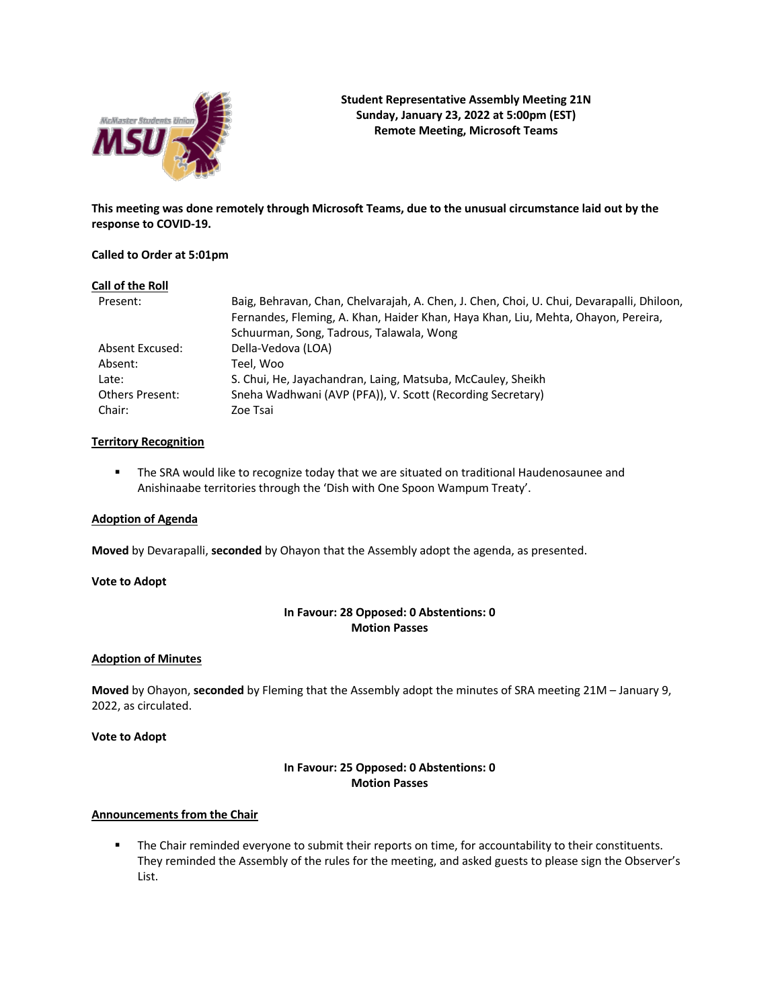

**This meeting was done remotely through Microsoft Teams, due to the unusual circumstance laid out by the response to COVID-19.**

### **Called to Order at 5:01pm**

#### **Call of the Roll**

| Present:               | Baig, Behravan, Chan, Chelvarajah, A. Chen, J. Chen, Choi, U. Chui, Devarapalli, Dhiloon,<br>Fernandes, Fleming, A. Khan, Haider Khan, Haya Khan, Liu, Mehta, Ohayon, Pereira,<br>Schuurman, Song, Tadrous, Talawala, Wong |
|------------------------|----------------------------------------------------------------------------------------------------------------------------------------------------------------------------------------------------------------------------|
| Absent Excused:        |                                                                                                                                                                                                                            |
|                        | Della-Vedova (LOA)                                                                                                                                                                                                         |
| Absent:                | Teel. Woo                                                                                                                                                                                                                  |
| Late:                  | S. Chui, He, Jayachandran, Laing, Matsuba, McCauley, Sheikh                                                                                                                                                                |
| <b>Others Present:</b> | Sneha Wadhwani (AVP (PFA)), V. Scott (Recording Secretary)                                                                                                                                                                 |
| Chair:                 | Zoe Tsai                                                                                                                                                                                                                   |

#### **Territory Recognition**

■ The SRA would like to recognize today that we are situated on traditional Haudenosaunee and Anishinaabe territories through the 'Dish with One Spoon Wampum Treaty'.

### **Adoption of Agenda**

**Moved** by Devarapalli, **seconded** by Ohayon that the Assembly adopt the agenda, as presented.

#### **Vote to Adopt**

# **In Favour: 28 Opposed: 0 Abstentions: 0 Motion Passes**

### **Adoption of Minutes**

**Moved** by Ohayon, **seconded** by Fleming that the Assembly adopt the minutes of SRA meeting 21M – January 9, 2022, as circulated.

### **Vote to Adopt**

### **In Favour: 25 Opposed: 0 Abstentions: 0 Motion Passes**

#### **Announcements from the Chair**

**•** The Chair reminded everyone to submit their reports on time, for accountability to their constituents. They reminded the Assembly of the rules for the meeting, and asked guests to please sign the Observer's List.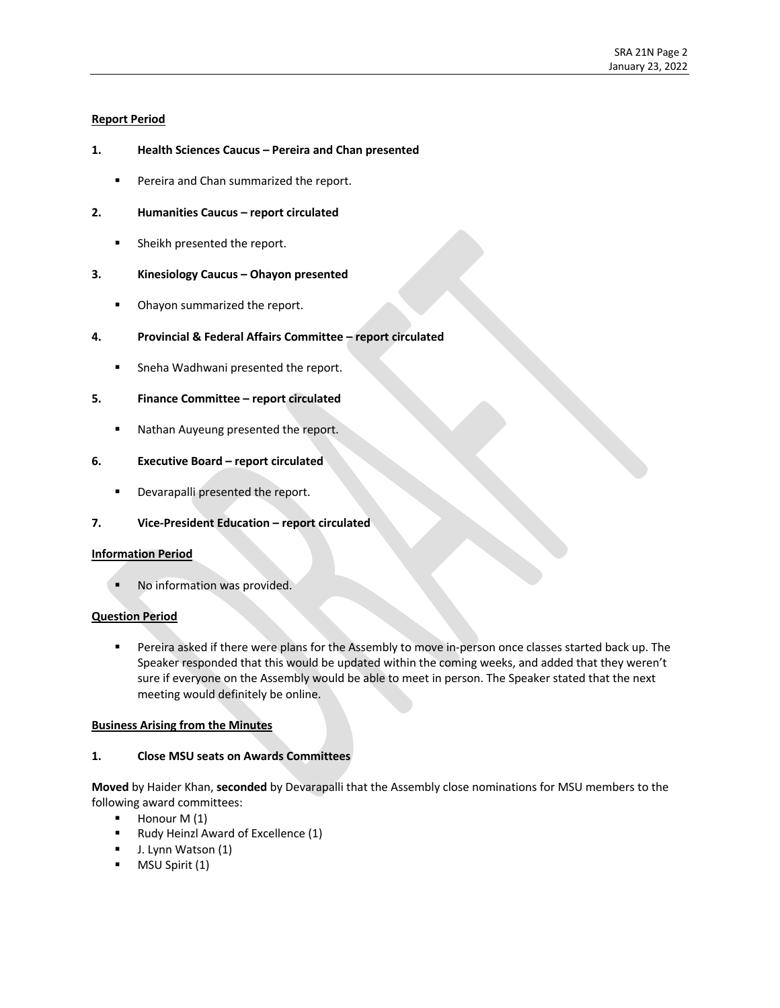## **Report Period**

## **1. Health Sciences Caucus – Pereira and Chan presented**

■ Pereira and Chan summarized the report.

### **2. Humanities Caucus – report circulated**

■ Sheikh presented the report.

### **3. Kinesiology Caucus – Ohayon presented**

■ Ohayon summarized the report.

### **4. Provincial & Federal Affairs Committee – report circulated**

■ Sneha Wadhwani presented the report.

## **5. Finance Committee – report circulated**

■ Nathan Auyeung presented the report.

## **6. Executive Board – report circulated**

**•** Devarapalli presented the report.

## **7. Vice-President Education – report circulated**

#### **Information Period**

No information was provided.

#### **Question Period**

■ Pereira asked if there were plans for the Assembly to move in-person once classes started back up. The Speaker responded that this would be updated within the coming weeks, and added that they weren't sure if everyone on the Assembly would be able to meet in person. The Speaker stated that the next meeting would definitely be online.

#### **Business Arising from the Minutes**

### **1. Close MSU seats on Awards Committees**

**Moved** by Haider Khan, **seconded** by Devarapalli that the Assembly close nominations for MSU members to the following award committees: 

- $\blacksquare$  Honour M (1)
- § Rudy Heinzl Award of Excellence (1)
- J. Lynn Watson (1)
- § MSU Spirit (1)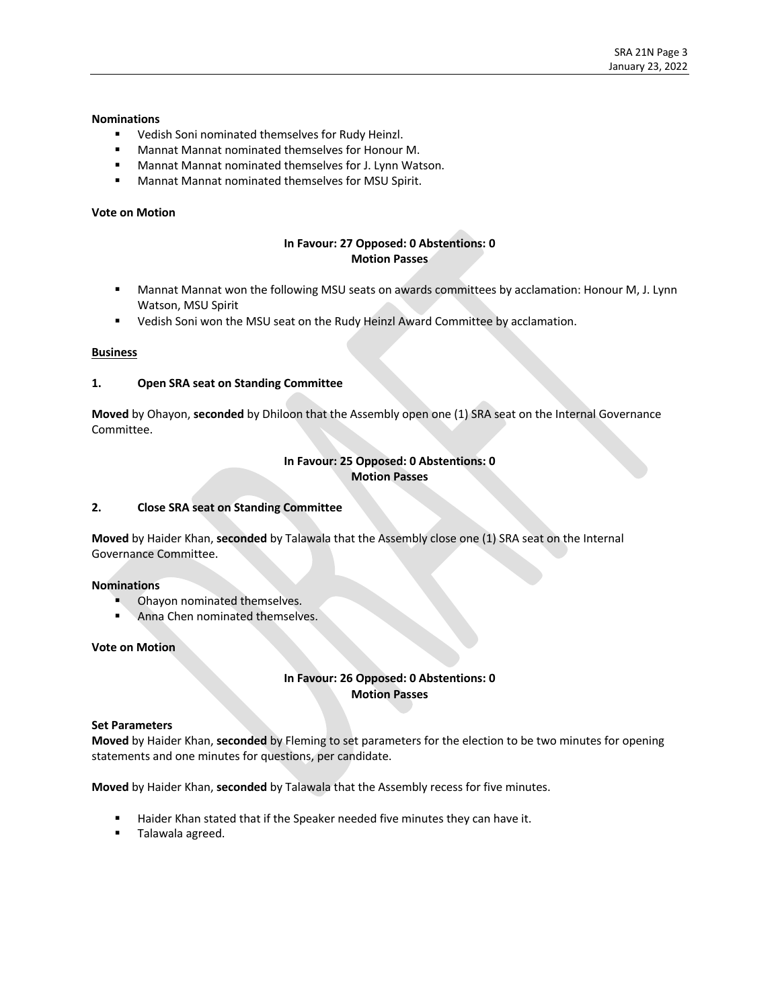### **Nominations**

- § Vedish Soni nominated themselves for Rudy Heinzl.
- Mannat Mannat nominated themselves for Honour M.
- Mannat Mannat nominated themselves for J. Lynn Watson.
- Mannat Mannat nominated themselves for MSU Spirit.

### **Vote on Motion**

# **In Favour: 27 Opposed: 0 Abstentions: 0 Motion Passes**

- Mannat Mannat won the following MSU seats on awards committees by acclamation: Honour M, J. Lynn Watson, MSU Spirit
- Vedish Soni won the MSU seat on the Rudy Heinzl Award Committee by acclamation.

### **Business**

### **1. Open SRA seat on Standing Committee**

**Moved** by Ohayon, **seconded** by Dhiloon that the Assembly open one (1) SRA seat on the Internal Governance Committee.

### **In Favour: 25 Opposed: 0 Abstentions: 0 Motion Passes**

## **2. Close SRA seat on Standing Committee**

**Moved** by Haider Khan, **seconded** by Talawala that the Assembly close one (1) SRA seat on the Internal Governance Committee.

#### **Nominations**

- **Ohayon nominated themselves.**
- § Anna Chen nominated themselves.

#### **Vote on Motion**

# **In Favour: 26 Opposed: 0 Abstentions: 0 Motion Passes**

#### **Set Parameters**

**Moved** by Haider Khan, **seconded** by Fleming to set parameters for the election to be two minutes for opening statements and one minutes for questions, per candidate.

**Moved** by Haider Khan, **seconded** by Talawala that the Assembly recess for five minutes.

- Haider Khan stated that if the Speaker needed five minutes they can have it.
- **Filawala agreed.**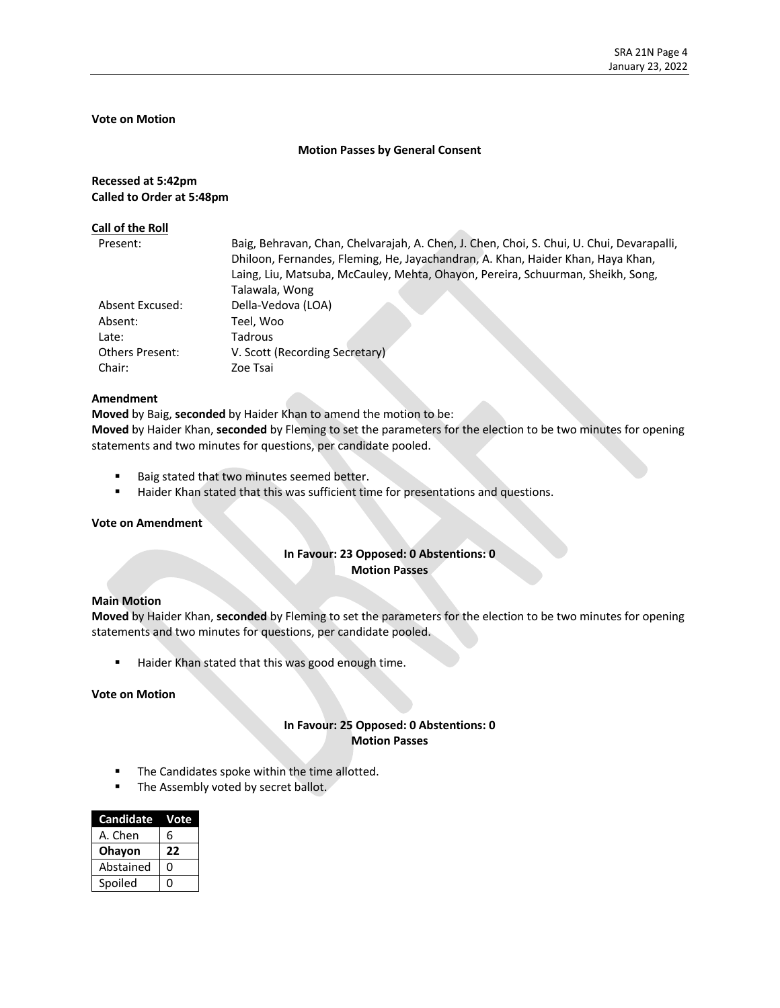# **Vote on Motion**

#### **Motion Passes by General Consent**

### **Recessed at 5:42pm Called to Order at 5:48pm**

#### **Call of the Roll**

| Present:               | Baig, Behravan, Chan, Chelvarajah, A. Chen, J. Chen, Choi, S. Chui, U. Chui, Devarapalli,<br>Dhiloon, Fernandes, Fleming, He, Jayachandran, A. Khan, Haider Khan, Haya Khan,<br>Laing, Liu, Matsuba, McCauley, Mehta, Ohayon, Pereira, Schuurman, Sheikh, Song, |
|------------------------|-----------------------------------------------------------------------------------------------------------------------------------------------------------------------------------------------------------------------------------------------------------------|
|                        | Talawala, Wong                                                                                                                                                                                                                                                  |
| Absent Excused:        | Della-Vedova (LOA)                                                                                                                                                                                                                                              |
| Absent:                | Teel, Woo                                                                                                                                                                                                                                                       |
| Late:                  | Tadrous                                                                                                                                                                                                                                                         |
| <b>Others Present:</b> | V. Scott (Recording Secretary)                                                                                                                                                                                                                                  |
| Chair:                 | Zoe Tsai                                                                                                                                                                                                                                                        |

#### **Amendment**

**Moved** by Baig, **seconded** by Haider Khan to amend the motion to be:

**Moved** by Haider Khan, **seconded** by Fleming to set the parameters for the election to be two minutes for opening statements and two minutes for questions, per candidate pooled.

- Baig stated that two minutes seemed better.
- Haider Khan stated that this was sufficient time for presentations and questions.

#### **Vote on Amendment**

## **In Favour: 23 Opposed: 0 Abstentions: 0 Motion Passes**

#### **Main Motion**

**Moved** by Haider Khan, **seconded** by Fleming to set the parameters for the election to be two minutes for opening statements and two minutes for questions, per candidate pooled.

■ Haider Khan stated that this was good enough time.

#### **Vote on Motion**

## **In Favour: 25 Opposed: 0 Abstentions: 0 Motion Passes**

- The Candidates spoke within the time allotted.
- **The Assembly voted by secret ballot.**

| <b>Candidate</b> | Vote |
|------------------|------|
| A. Chen          | 6    |
| Ohayon           | 22   |
| Abstained        | O    |
| Spoiled          | 0    |